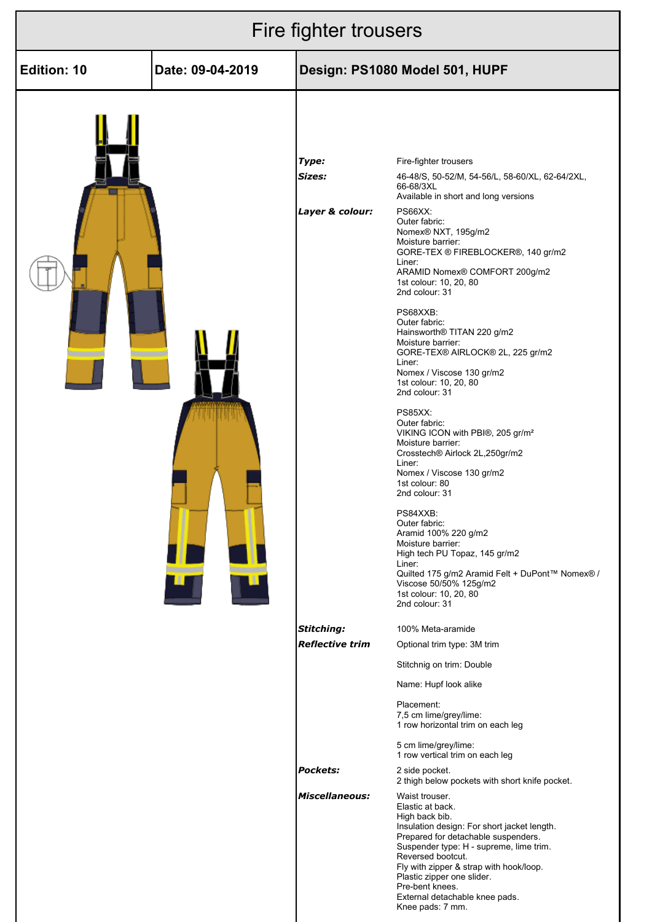| Fire fighter trousers |                  |                                             |                                                                                                                                                                                                                                                                                                                                                                                                                                                                                                                                                                                                                                                                                                                                                                                                                                                                                                                                                                                            |  |
|-----------------------|------------------|---------------------------------------------|--------------------------------------------------------------------------------------------------------------------------------------------------------------------------------------------------------------------------------------------------------------------------------------------------------------------------------------------------------------------------------------------------------------------------------------------------------------------------------------------------------------------------------------------------------------------------------------------------------------------------------------------------------------------------------------------------------------------------------------------------------------------------------------------------------------------------------------------------------------------------------------------------------------------------------------------------------------------------------------------|--|
| <b>Edition: 10</b>    | Date: 09-04-2019 | Design: PS1080 Model 501, HUPF              |                                                                                                                                                                                                                                                                                                                                                                                                                                                                                                                                                                                                                                                                                                                                                                                                                                                                                                                                                                                            |  |
|                       | 4 7              | Type:<br>Sizes:<br>Layer & colour:          | Fire-fighter trousers<br>46-48/S, 50-52/M, 54-56/L, 58-60/XL, 62-64/2XL,<br>66-68/3XL<br>Available in short and long versions<br>PS66XX:<br>Outer fabric:<br>Nomex® NXT, 195g/m2<br>Moisture barrier:<br>GORE-TEX ® FIREBLOCKER®, 140 gr/m2<br>Liner:<br>ARAMID Nomex® COMFORT 200g/m2<br>1st colour: 10, 20, 80<br>2nd colour: 31<br>PS68XXB:<br>Outer fabric:<br>Hainsworth® TITAN 220 g/m2<br>Moisture barrier:<br>GORE-TEX® AIRLOCK® 2L, 225 gr/m2<br>Liner:<br>Nomex / Viscose 130 gr/m2<br>1st colour: 10, 20, 80<br>2nd colour: 31<br><b>PS85XX:</b><br>Outer fabric:<br>VIKING ICON with PBI®, 205 gr/m <sup>2</sup><br>Moisture barrier:<br>Crosstech® Airlock 2L,250gr/m2<br>Liner:<br>Nomex / Viscose 130 gr/m2<br>1st colour: 80<br>2nd colour: 31<br>PS84XXB:<br>Outer fabric:<br>Aramid 100% 220 g/m2<br>Moisture barrier:<br>High tech PU Topaz, 145 gr/m2<br>Liner:<br>Quilted 175 g/m2 Aramid Felt + DuPont™ Nomex® /<br>Viscose 50/50% 125g/m2<br>1st colour: 10, 20, 80 |  |
|                       |                  | <b>Stitching:</b><br><b>Reflective trim</b> | 100% Meta-aramide<br>Optional trim type: 3M trim<br>Stitchnig on trim: Double<br>Name: Hupf look alike<br>Placement:                                                                                                                                                                                                                                                                                                                                                                                                                                                                                                                                                                                                                                                                                                                                                                                                                                                                       |  |
|                       |                  |                                             | 7,5 cm lime/grey/lime:<br>1 row horizontal trim on each leg<br>5 cm lime/grey/lime:<br>1 row vertical trim on each leg                                                                                                                                                                                                                                                                                                                                                                                                                                                                                                                                                                                                                                                                                                                                                                                                                                                                     |  |
|                       |                  | <b>Pockets:</b>                             | 2 side pocket.<br>2 thigh below pockets with short knife pocket.                                                                                                                                                                                                                                                                                                                                                                                                                                                                                                                                                                                                                                                                                                                                                                                                                                                                                                                           |  |
|                       |                  | <b>Miscellaneous:</b>                       | Waist trouser.<br>Elastic at back.<br>High back bib.<br>Insulation design: For short jacket length.<br>Prepared for detachable suspenders.<br>Suspender type: H - supreme, lime trim.<br>Reversed bootcut.<br>Fly with zipper & strap with hook/loop.<br>Plastic zipper one slider.<br>Pre-bent knees.<br>External detachable knee pads.<br>Knee pads: 7 mm.                                                                                                                                                                                                                                                                                                                                                                                                                                                                                                                                                                                                                               |  |